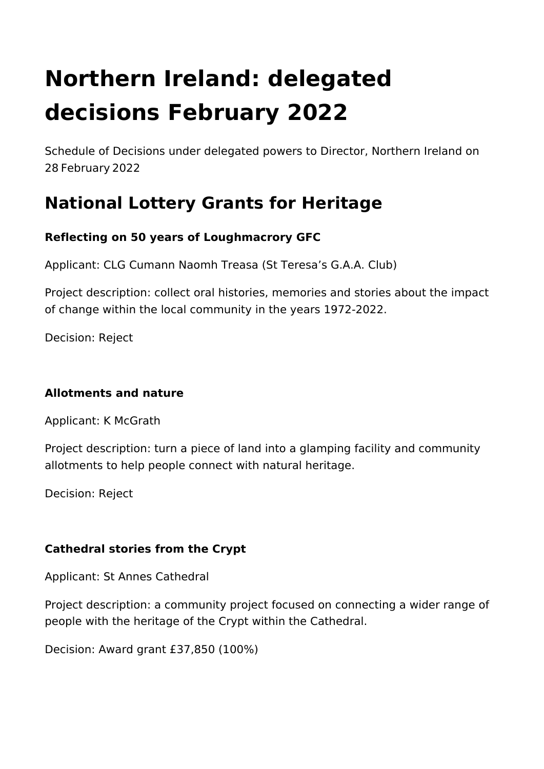# **Northern Ireland: delegated decisions February 2022**

Schedule of Decisions under delegated powers to Director, Northern Ireland on 28 February 2022

# **National Lottery Grants for Heritage**

# **Reflecting on 50 years of Loughmacrory GFC**

Applicant: CLG Cumann Naomh Treasa (St Teresa's G.A.A. Club)

Project description: collect oral histories, memories and stories about the impact of change within the local community in the years 1972-2022.

Decision: Reject

#### **Allotments and nature**

Applicant: K McGrath

Project description: turn a piece of land into a glamping facility and community allotments to help people connect with natural heritage.

Decision: Reject

# **Cathedral stories from the Crypt**

Applicant: St Annes Cathedral

Project description: a community project focused on connecting a wider range of people with the heritage of the Crypt within the Cathedral.

Decision: Award grant £37,850 (100%)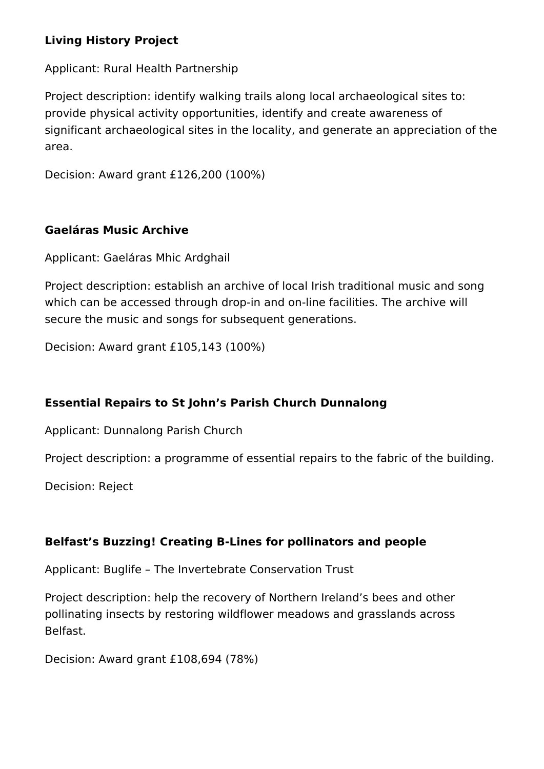#### **Living History Project**

Applicant: Rural Health Partnership

Project description: identify walking trails along local archaeological sites to: provide physical activity opportunities, identify and create awareness of significant archaeological sites in the locality, and generate an appreciation of the area.

Decision: Award grant £126,200 (100%)

#### **Gaeláras Music Archive**

Applicant: Gaeláras Mhic Ardghail

Project description: establish an archive of local Irish traditional music and song which can be accessed through drop-in and on-line facilities. The archive will secure the music and songs for subsequent generations.

Decision: Award grant £105,143 (100%)

#### **Essential Repairs to St John's Parish Church Dunnalong**

Applicant: Dunnalong Parish Church

Project description: a programme of essential repairs to the fabric of the building.

Decision: Reject

#### **Belfast's Buzzing! Creating B-Lines for pollinators and people**

Applicant: Buglife – The Invertebrate Conservation Trust

Project description: help the recovery of Northern Ireland's bees and other pollinating insects by restoring wildflower meadows and grasslands across Belfast.

Decision: Award grant £108,694 (78%)